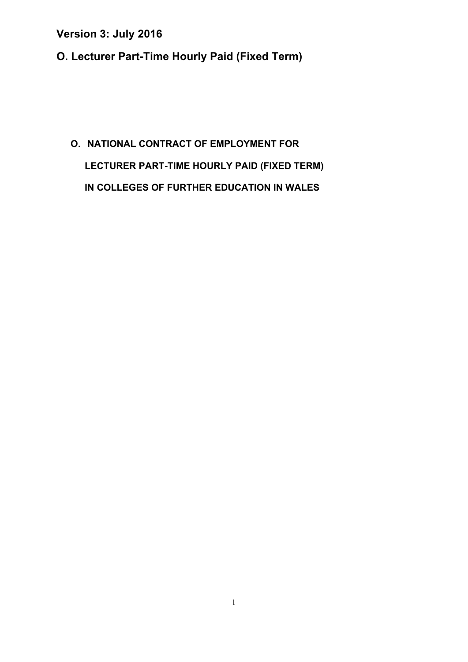**O. Lecturer Part-Time Hourly Paid (Fixed Term)** 

# **O. NATIONAL CONTRACT OF EMPLOYMENT FOR LECTURER PART-TIME HOURLY PAID (FIXED TERM) IN COLLEGES OF FURTHER EDUCATION IN WALES**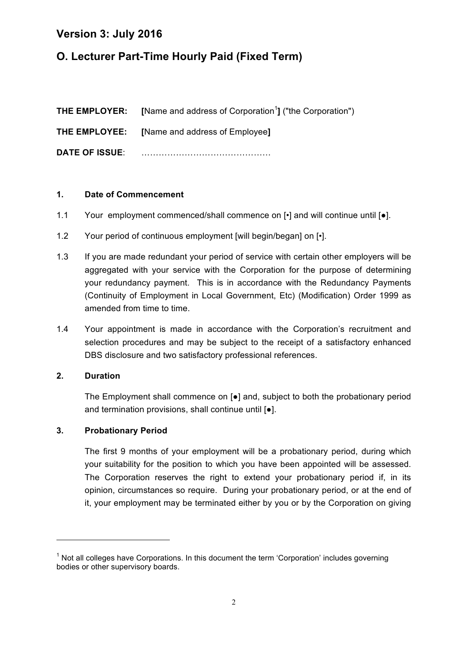# **O. Lecturer Part-Time Hourly Paid (Fixed Term)**

|                       | <b>THE EMPLOYER:</b> [Name and address of Corporation <sup>1</sup> ] ("the Corporation") |
|-----------------------|------------------------------------------------------------------------------------------|
|                       | <b>THE EMPLOYEE:</b> [Name and address of Employee]                                      |
| <b>DATE OF ISSUE:</b> |                                                                                          |

#### **1. Date of Commencement**

- 1.1 Your employment commenced/shall commence on  $\lceil \cdot \rceil$  and will continue until  $\lceil \bullet \rceil$ .
- 1.2 Your period of continuous employment [will begin/began] on [•].
- 1.3 If you are made redundant your period of service with certain other employers will be aggregated with your service with the Corporation for the purpose of determining your redundancy payment. This is in accordance with the Redundancy Payments (Continuity of Employment in Local Government, Etc) (Modification) Order 1999 as amended from time to time.
- 1.4 Your appointment is made in accordance with the Corporation's recruitment and selection procedures and may be subject to the receipt of a satisfactory enhanced DBS disclosure and two satisfactory professional references.

#### **2. Duration**

The Employment shall commence on  $\lceil \bullet \rceil$  and, subject to both the probationary period and termination provisions, shall continue until [●].

### **3. Probationary Period**

<u> 1989 - Jan Samuel Barbara, margaret e</u>

The first 9 months of your employment will be a probationary period, during which your suitability for the position to which you have been appointed will be assessed. The Corporation reserves the right to extend your probationary period if, in its opinion, circumstances so require. During your probationary period, or at the end of it, your employment may be terminated either by you or by the Corporation on giving

 $1$  Not all colleges have Corporations. In this document the term 'Corporation' includes governing bodies or other supervisory boards.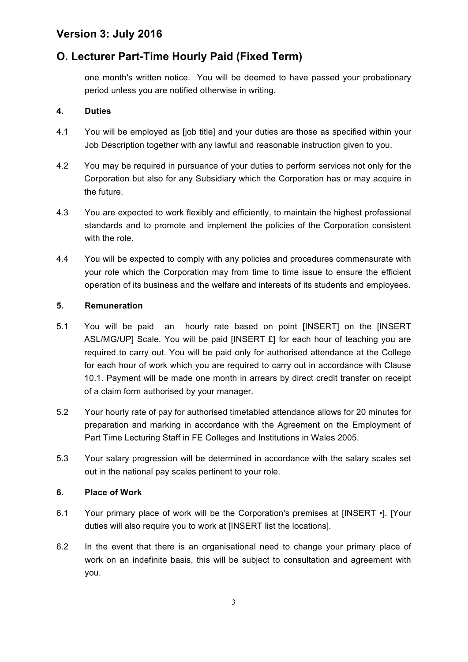# **O. Lecturer Part-Time Hourly Paid (Fixed Term)**

one month's written notice. You will be deemed to have passed your probationary period unless you are notified otherwise in writing.

### **4. Duties**

- 4.1 You will be employed as [job title] and your duties are those as specified within your Job Description together with any lawful and reasonable instruction given to you.
- 4.2 You may be required in pursuance of your duties to perform services not only for the Corporation but also for any Subsidiary which the Corporation has or may acquire in the future.
- 4.3 You are expected to work flexibly and efficiently, to maintain the highest professional standards and to promote and implement the policies of the Corporation consistent with the role.
- 4.4 You will be expected to comply with any policies and procedures commensurate with your role which the Corporation may from time to time issue to ensure the efficient operation of its business and the welfare and interests of its students and employees.

### **5. Remuneration**

- 5.1 You will be paid an hourly rate based on point [INSERT] on the [INSERT ASL/MG/UP] Scale. You will be paid [INSERT £] for each hour of teaching you are required to carry out. You will be paid only for authorised attendance at the College for each hour of work which you are required to carry out in accordance with Clause 10.1. Payment will be made one month in arrears by direct credit transfer on receipt of a claim form authorised by your manager.
- 5.2 Your hourly rate of pay for authorised timetabled attendance allows for 20 minutes for preparation and marking in accordance with the Agreement on the Employment of Part Time Lecturing Staff in FE Colleges and Institutions in Wales 2005.
- 5.3 Your salary progression will be determined in accordance with the salary scales set out in the national pay scales pertinent to your role.

### **6. Place of Work**

- 6.1 Your primary place of work will be the Corporation's premises at [INSERT •]. [Your duties will also require you to work at [INSERT list the locations].
- 6.2 In the event that there is an organisational need to change your primary place of work on an indefinite basis, this will be subject to consultation and agreement with you.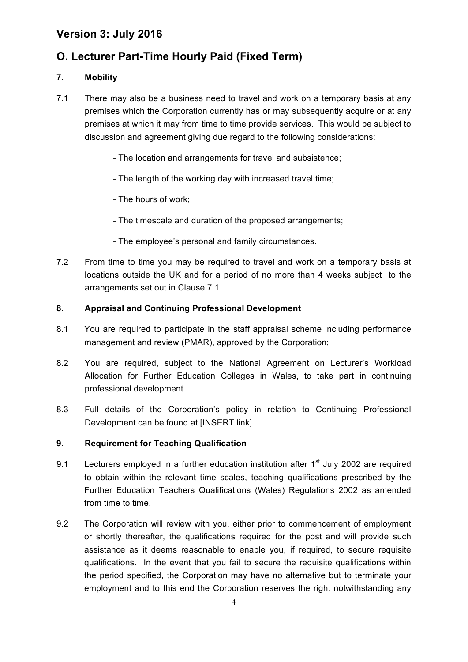# **O. Lecturer Part-Time Hourly Paid (Fixed Term)**

### **7. Mobility**

- 7.1 There may also be a business need to travel and work on a temporary basis at any premises which the Corporation currently has or may subsequently acquire or at any premises at which it may from time to time provide services. This would be subject to discussion and agreement giving due regard to the following considerations:
	- The location and arrangements for travel and subsistence;
	- The length of the working day with increased travel time;
	- The hours of work;
	- The timescale and duration of the proposed arrangements;
	- The employee's personal and family circumstances.
- 7.2 From time to time you may be required to travel and work on a temporary basis at locations outside the UK and for a period of no more than 4 weeks subject to the arrangements set out in Clause 7.1.

### **8. Appraisal and Continuing Professional Development**

- 8.1 You are required to participate in the staff appraisal scheme including performance management and review (PMAR), approved by the Corporation;
- 8.2 You are required, subject to the National Agreement on Lecturer's Workload Allocation for Further Education Colleges in Wales, to take part in continuing professional development.
- 8.3 Full details of the Corporation's policy in relation to Continuing Professional Development can be found at [INSERT link].

### **9. Requirement for Teaching Qualification**

- 9.1 Lecturers employed in a further education institution after  $1<sup>st</sup>$  July 2002 are required to obtain within the relevant time scales, teaching qualifications prescribed by the Further Education Teachers Qualifications (Wales) Regulations 2002 as amended from time to time.
- 9.2 The Corporation will review with you, either prior to commencement of employment or shortly thereafter, the qualifications required for the post and will provide such assistance as it deems reasonable to enable you, if required, to secure requisite qualifications. In the event that you fail to secure the requisite qualifications within the period specified, the Corporation may have no alternative but to terminate your employment and to this end the Corporation reserves the right notwithstanding any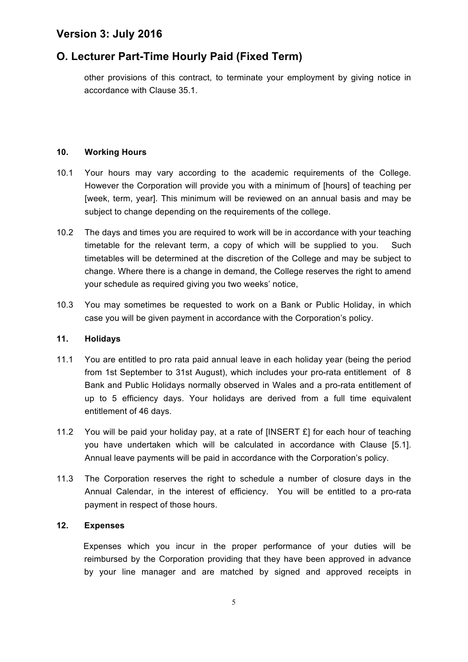# **O. Lecturer Part-Time Hourly Paid (Fixed Term)**

other provisions of this contract, to terminate your employment by giving notice in accordance with Clause 35.1.

### **10. Working Hours**

- 10.1 Your hours may vary according to the academic requirements of the College. However the Corporation will provide you with a minimum of [hours] of teaching per [week, term, year]. This minimum will be reviewed on an annual basis and may be subject to change depending on the requirements of the college.
- 10.2 The days and times you are required to work will be in accordance with your teaching timetable for the relevant term, a copy of which will be supplied to you. Such timetables will be determined at the discretion of the College and may be subject to change. Where there is a change in demand, the College reserves the right to amend your schedule as required giving you two weeks' notice,
- 10.3 You may sometimes be requested to work on a Bank or Public Holiday, in which case you will be given payment in accordance with the Corporation's policy.

#### **11. Holidays**

- 11.1 You are entitled to pro rata paid annual leave in each holiday year (being the period from 1st September to 31st August), which includes your pro-rata entitlement of 8 Bank and Public Holidays normally observed in Wales and a pro-rata entitlement of up to 5 efficiency days. Your holidays are derived from a full time equivalent entitlement of 46 days.
- 11.2 You will be paid your holiday pay, at a rate of [INSERT £] for each hour of teaching you have undertaken which will be calculated in accordance with Clause [5.1]. Annual leave payments will be paid in accordance with the Corporation's policy.
- 11.3 The Corporation reserves the right to schedule a number of closure days in the Annual Calendar, in the interest of efficiency. You will be entitled to a pro-rata payment in respect of those hours.

### **12. Expenses**

Expenses which you incur in the proper performance of your duties will be reimbursed by the Corporation providing that they have been approved in advance by your line manager and are matched by signed and approved receipts in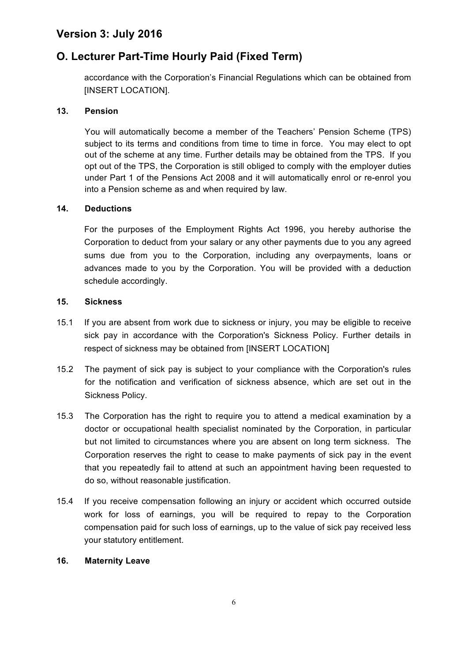# **O. Lecturer Part-Time Hourly Paid (Fixed Term)**

accordance with the Corporation's Financial Regulations which can be obtained from [INSERT LOCATION].

### **13. Pension**

You will automatically become a member of the Teachers' Pension Scheme (TPS) subject to its terms and conditions from time to time in force. You may elect to opt out of the scheme at any time. Further details may be obtained from the TPS. If you opt out of the TPS, the Corporation is still obliged to comply with the employer duties under Part 1 of the Pensions Act 2008 and it will automatically enrol or re-enrol you into a Pension scheme as and when required by law.

### **14. Deductions**

For the purposes of the Employment Rights Act 1996, you hereby authorise the Corporation to deduct from your salary or any other payments due to you any agreed sums due from you to the Corporation, including any overpayments, loans or advances made to you by the Corporation. You will be provided with a deduction schedule accordingly.

#### **15. Sickness**

- 15.1 If you are absent from work due to sickness or injury, you may be eligible to receive sick pay in accordance with the Corporation's Sickness Policy. Further details in respect of sickness may be obtained from [INSERT LOCATION]
- 15.2 The payment of sick pay is subject to your compliance with the Corporation's rules for the notification and verification of sickness absence, which are set out in the Sickness Policy.
- 15.3 The Corporation has the right to require you to attend a medical examination by a doctor or occupational health specialist nominated by the Corporation, in particular but not limited to circumstances where you are absent on long term sickness. The Corporation reserves the right to cease to make payments of sick pay in the event that you repeatedly fail to attend at such an appointment having been requested to do so, without reasonable justification.
- 15.4 If you receive compensation following an injury or accident which occurred outside work for loss of earnings, you will be required to repay to the Corporation compensation paid for such loss of earnings, up to the value of sick pay received less your statutory entitlement.

#### **16. Maternity Leave**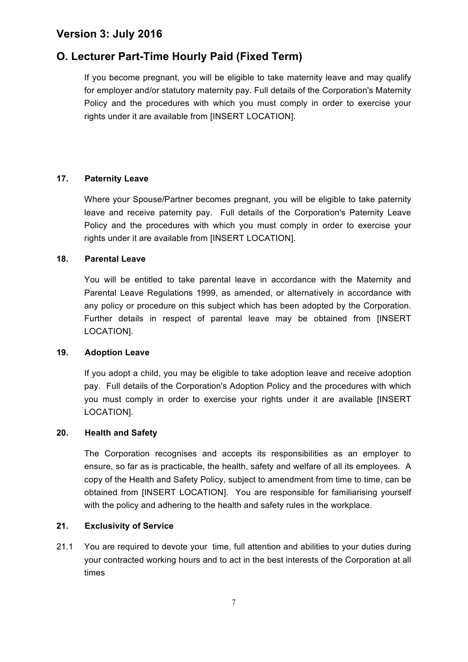# **O. Lecturer Part-Time Hourly Paid (Fixed Term)**

If you become pregnant, you will be eligible to take maternity leave and may qualify for employer and/or statutory maternity pay. Full details of the Corporation's Maternity Policy and the procedures with which you must comply in order to exercise your rights under it are available from [INSERT LOCATION].

### **17. Paternity Leave**

Where your Spouse/Partner becomes pregnant, you will be eligible to take paternity leave and receive paternity pay. Full details of the Corporation's Paternity Leave Policy and the procedures with which you must comply in order to exercise your rights under it are available from [INSERT LOCATION].

### **18. Parental Leave**

You will be entitled to take parental leave in accordance with the Maternity and Parental Leave Regulations 1999, as amended, or alternatively in accordance with any policy or procedure on this subject which has been adopted by the Corporation. Further details in respect of parental leave may be obtained from [INSERT LOCATION].

### **19. Adoption Leave**

If you adopt a child, you may be eligible to take adoption leave and receive adoption pay. Full details of the Corporation's Adoption Policy and the procedures with which you must comply in order to exercise your rights under it are available [INSERT LOCATION].

### **20. Health and Safety**

The Corporation recognises and accepts its responsibilities as an employer to ensure, so far as is practicable, the health, safety and welfare of all its employees. A copy of the Health and Safety Policy, subject to amendment from time to time, can be obtained from [INSERT LOCATION]. You are responsible for familiarising yourself with the policy and adhering to the health and safety rules in the workplace.

#### **21. Exclusivity of Service**

21.1 You are required to devote your time, full attention and abilities to your duties during your contracted working hours and to act in the best interests of the Corporation at all times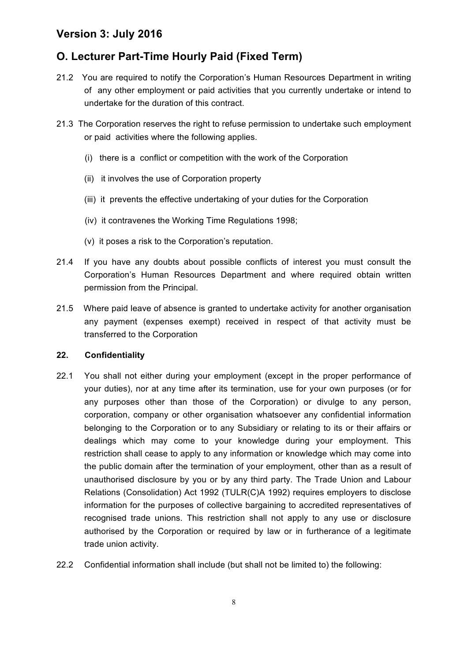# **O. Lecturer Part-Time Hourly Paid (Fixed Term)**

- 21.2 You are required to notify the Corporation's Human Resources Department in writing of any other employment or paid activities that you currently undertake or intend to undertake for the duration of this contract.
- 21.3 The Corporation reserves the right to refuse permission to undertake such employment or paid activities where the following applies.
	- (i) there is a conflict or competition with the work of the Corporation
	- (ii) it involves the use of Corporation property
	- (iii) it prevents the effective undertaking of your duties for the Corporation
	- (iv) it contravenes the Working Time Regulations 1998;
	- (v) it poses a risk to the Corporation's reputation.
- 21.4 If you have any doubts about possible conflicts of interest you must consult the Corporation's Human Resources Department and where required obtain written permission from the Principal.
- 21.5 Where paid leave of absence is granted to undertake activity for another organisation any payment (expenses exempt) received in respect of that activity must be transferred to the Corporation

#### **22. Confidentiality**

- 22.1 You shall not either during your employment (except in the proper performance of your duties), nor at any time after its termination, use for your own purposes (or for any purposes other than those of the Corporation) or divulge to any person, corporation, company or other organisation whatsoever any confidential information belonging to the Corporation or to any Subsidiary or relating to its or their affairs or dealings which may come to your knowledge during your employment. This restriction shall cease to apply to any information or knowledge which may come into the public domain after the termination of your employment, other than as a result of unauthorised disclosure by you or by any third party. The Trade Union and Labour Relations (Consolidation) Act 1992 (TULR(C)A 1992) requires employers to disclose information for the purposes of collective bargaining to accredited representatives of recognised trade unions. This restriction shall not apply to any use or disclosure authorised by the Corporation or required by law or in furtherance of a legitimate trade union activity.
- 22.2 Confidential information shall include (but shall not be limited to) the following: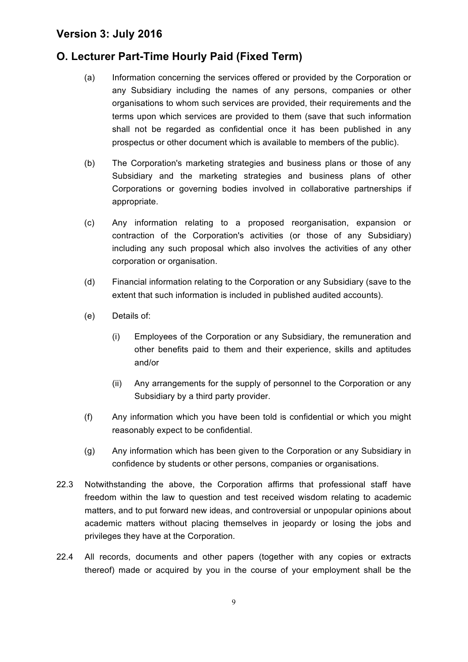# **O. Lecturer Part-Time Hourly Paid (Fixed Term)**

- (a) Information concerning the services offered or provided by the Corporation or any Subsidiary including the names of any persons, companies or other organisations to whom such services are provided, their requirements and the terms upon which services are provided to them (save that such information shall not be regarded as confidential once it has been published in any prospectus or other document which is available to members of the public).
- (b) The Corporation's marketing strategies and business plans or those of any Subsidiary and the marketing strategies and business plans of other Corporations or governing bodies involved in collaborative partnerships if appropriate.
- (c) Any information relating to a proposed reorganisation, expansion or contraction of the Corporation's activities (or those of any Subsidiary) including any such proposal which also involves the activities of any other corporation or organisation.
- (d) Financial information relating to the Corporation or any Subsidiary (save to the extent that such information is included in published audited accounts).
- (e) Details of:
	- (i) Employees of the Corporation or any Subsidiary, the remuneration and other benefits paid to them and their experience, skills and aptitudes and/or
	- (ii) Any arrangements for the supply of personnel to the Corporation or any Subsidiary by a third party provider.
- (f) Any information which you have been told is confidential or which you might reasonably expect to be confidential.
- (g) Any information which has been given to the Corporation or any Subsidiary in confidence by students or other persons, companies or organisations.
- 22.3 Notwithstanding the above, the Corporation affirms that professional staff have freedom within the law to question and test received wisdom relating to academic matters, and to put forward new ideas, and controversial or unpopular opinions about academic matters without placing themselves in jeopardy or losing the jobs and privileges they have at the Corporation.
- 22.4 All records, documents and other papers (together with any copies or extracts thereof) made or acquired by you in the course of your employment shall be the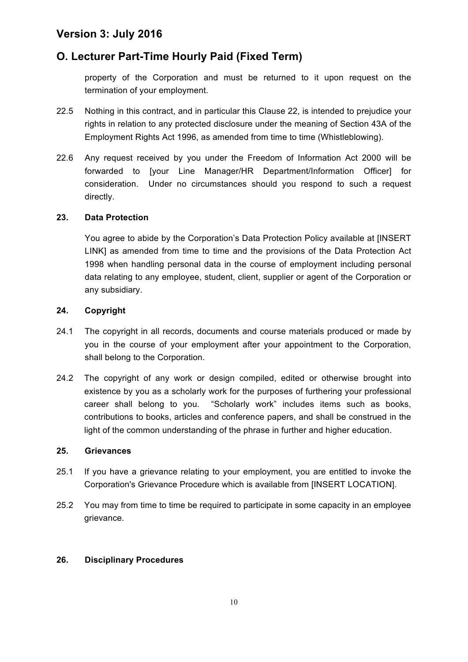# **O. Lecturer Part-Time Hourly Paid (Fixed Term)**

property of the Corporation and must be returned to it upon request on the termination of your employment.

- 22.5 Nothing in this contract, and in particular this Clause 22, is intended to prejudice your rights in relation to any protected disclosure under the meaning of Section 43A of the Employment Rights Act 1996, as amended from time to time (Whistleblowing).
- 22.6 Any request received by you under the Freedom of Information Act 2000 will be forwarded to [your Line Manager/HR Department/Information Officer] for consideration. Under no circumstances should you respond to such a request directly.

### **23. Data Protection**

You agree to abide by the Corporation's Data Protection Policy available at [INSERT LINK] as amended from time to time and the provisions of the Data Protection Act 1998 when handling personal data in the course of employment including personal data relating to any employee, student, client, supplier or agent of the Corporation or any subsidiary.

### **24. Copyright**

- 24.1 The copyright in all records, documents and course materials produced or made by you in the course of your employment after your appointment to the Corporation, shall belong to the Corporation.
- 24.2 The copyright of any work or design compiled, edited or otherwise brought into existence by you as a scholarly work for the purposes of furthering your professional career shall belong to you. "Scholarly work" includes items such as books, contributions to books, articles and conference papers, and shall be construed in the light of the common understanding of the phrase in further and higher education.

#### **25. Grievances**

- 25.1 If you have a grievance relating to your employment, you are entitled to invoke the Corporation's Grievance Procedure which is available from [INSERT LOCATION].
- 25.2 You may from time to time be required to participate in some capacity in an employee grievance.

### **26. Disciplinary Procedures**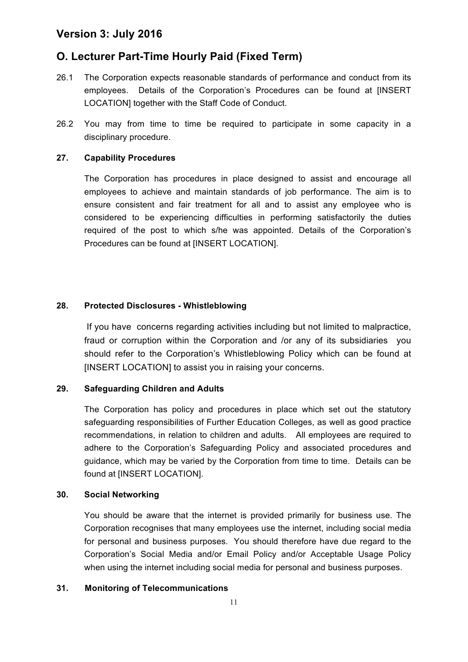### **O. Lecturer Part-Time Hourly Paid (Fixed Term)**

- 26.1 The Corporation expects reasonable standards of performance and conduct from its employees. Details of the Corporation's Procedures can be found at [INSERT LOCATION] together with the Staff Code of Conduct.
- 26.2 You may from time to time be required to participate in some capacity in a disciplinary procedure.

#### **27. Capability Procedures**

The Corporation has procedures in place designed to assist and encourage all employees to achieve and maintain standards of job performance. The aim is to ensure consistent and fair treatment for all and to assist any employee who is considered to be experiencing difficulties in performing satisfactorily the duties required of the post to which s/he was appointed. Details of the Corporation's Procedures can be found at [INSERT LOCATION].

### **28. Protected Disclosures - Whistleblowing**

If you have concerns regarding activities including but not limited to malpractice, fraud or corruption within the Corporation and /or any of its subsidiaries you should refer to the Corporation's Whistleblowing Policy which can be found at [INSERT LOCATION] to assist you in raising your concerns.

#### **29. Safeguarding Children and Adults**

The Corporation has policy and procedures in place which set out the statutory safeguarding responsibilities of Further Education Colleges, as well as good practice recommendations, in relation to children and adults. All employees are required to adhere to the Corporation's Safeguarding Policy and associated procedures and guidance, which may be varied by the Corporation from time to time. Details can be found at [INSERT LOCATION].

#### **30. Social Networking**

You should be aware that the internet is provided primarily for business use. The Corporation recognises that many employees use the internet, including social media for personal and business purposes. You should therefore have due regard to the Corporation's Social Media and/or Email Policy and/or Acceptable Usage Policy when using the internet including social media for personal and business purposes.

#### **31. Monitoring of Telecommunications**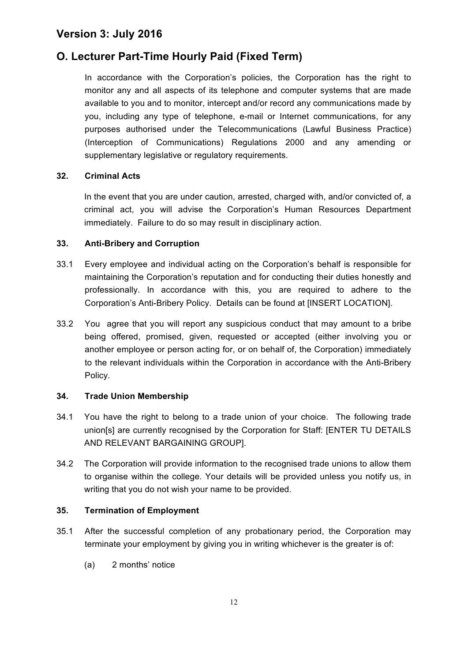# **O. Lecturer Part-Time Hourly Paid (Fixed Term)**

In accordance with the Corporation's policies, the Corporation has the right to monitor any and all aspects of its telephone and computer systems that are made available to you and to monitor, intercept and/or record any communications made by you, including any type of telephone, e-mail or Internet communications, for any purposes authorised under the Telecommunications (Lawful Business Practice) (Interception of Communications) Regulations 2000 and any amending or supplementary legislative or regulatory requirements.

### **32. Criminal Acts**

In the event that you are under caution, arrested, charged with, and/or convicted of, a criminal act, you will advise the Corporation's Human Resources Department immediately. Failure to do so may result in disciplinary action.

### **33. Anti-Bribery and Corruption**

- 33.1 Every employee and individual acting on the Corporation's behalf is responsible for maintaining the Corporation's reputation and for conducting their duties honestly and professionally. In accordance with this, you are required to adhere to the Corporation's Anti-Bribery Policy. Details can be found at [INSERT LOCATION].
- 33.2 You agree that you will report any suspicious conduct that may amount to a bribe being offered, promised, given, requested or accepted (either involving you or another employee or person acting for, or on behalf of, the Corporation) immediately to the relevant individuals within the Corporation in accordance with the Anti-Bribery Policy.

### **34. Trade Union Membership**

- 34.1 You have the right to belong to a trade union of your choice. The following trade union[s] are currently recognised by the Corporation for Staff: [ENTER TU DETAILS AND RELEVANT BARGAINING GROUP].
- 34.2 The Corporation will provide information to the recognised trade unions to allow them to organise within the college. Your details will be provided unless you notify us, in writing that you do not wish your name to be provided.

#### **35. Termination of Employment**

- 35.1 After the successful completion of any probationary period, the Corporation may terminate your employment by giving you in writing whichever is the greater is of:
	- (a) 2 months' notice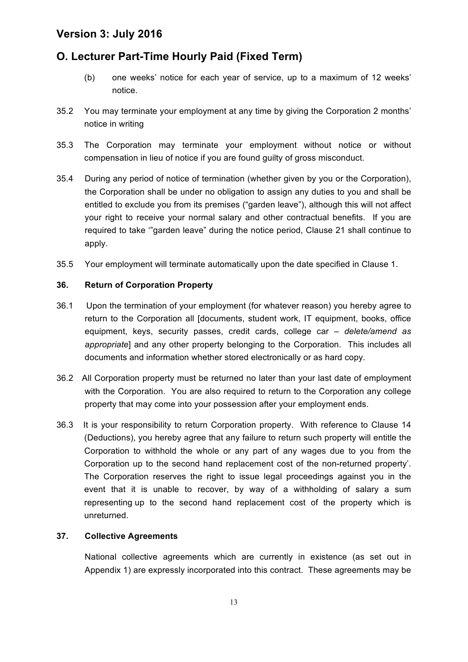# **O. Lecturer Part-Time Hourly Paid (Fixed Term)**

- (b) one weeks' notice for each year of service, up to a maximum of 12 weeks' notice.
- 35.2 You may terminate your employment at any time by giving the Corporation 2 months' notice in writing
- 35.3 The Corporation may terminate your employment without notice or without compensation in lieu of notice if you are found guilty of gross misconduct.
- 35.4 During any period of notice of termination (whether given by you or the Corporation), the Corporation shall be under no obligation to assign any duties to you and shall be entitled to exclude you from its premises ("garden leave"), although this will not affect your right to receive your normal salary and other contractual benefits. If you are required to take '"garden leave" during the notice period, Clause 21 shall continue to apply.
- 35.5 Your employment will terminate automatically upon the date specified in Clause 1.

### **36. Return of Corporation Property**

- 36.1 Upon the termination of your employment (for whatever reason) you hereby agree to return to the Corporation all [documents, student work, IT equipment, books, office equipment, keys, security passes, credit cards, college car *– delete/amend as appropriate*] and any other property belonging to the Corporation. This includes all documents and information whether stored electronically or as hard copy.
- 36.2 All Corporation property must be returned no later than your last date of employment with the Corporation. You are also required to return to the Corporation any college property that may come into your possession after your employment ends.
- 36.3 It is your responsibility to return Corporation property. With reference to Clause 14 (Deductions), you hereby agree that any failure to return such property will entitle the Corporation to withhold the whole or any part of any wages due to you from the Corporation up to the second hand replacement cost of the non-returned property'. The Corporation reserves the right to issue legal proceedings against you in the event that it is unable to recover, by way of a withholding of salary a sum representing up to the second hand replacement cost of the property which is unreturned.

### **37. Collective Agreements**

National collective agreements which are currently in existence (as set out in Appendix 1) are expressly incorporated into this contract. These agreements may be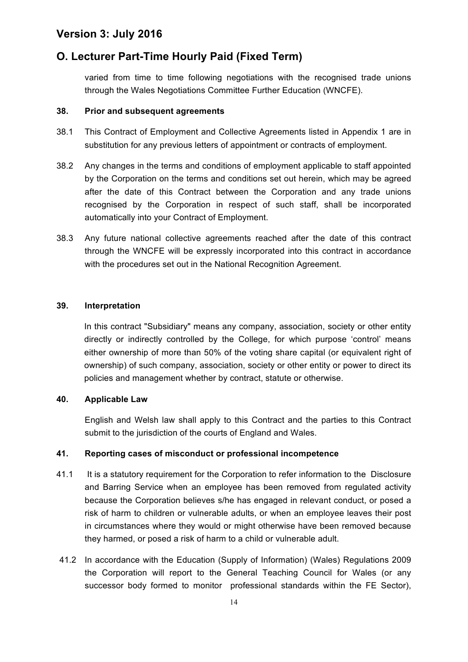### **O. Lecturer Part-Time Hourly Paid (Fixed Term)**

varied from time to time following negotiations with the recognised trade unions through the Wales Negotiations Committee Further Education (WNCFE).

#### **38. Prior and subsequent agreements**

- 38.1 This Contract of Employment and Collective Agreements listed in Appendix 1 are in substitution for any previous letters of appointment or contracts of employment.
- 38.2 Any changes in the terms and conditions of employment applicable to staff appointed by the Corporation on the terms and conditions set out herein, which may be agreed after the date of this Contract between the Corporation and any trade unions recognised by the Corporation in respect of such staff, shall be incorporated automatically into your Contract of Employment.
- 38.3 Any future national collective agreements reached after the date of this contract through the WNCFE will be expressly incorporated into this contract in accordance with the procedures set out in the National Recognition Agreement.

#### **39. Interpretation**

In this contract "Subsidiary" means any company, association, society or other entity directly or indirectly controlled by the College, for which purpose 'control' means either ownership of more than 50% of the voting share capital (or equivalent right of ownership) of such company, association, society or other entity or power to direct its policies and management whether by contract, statute or otherwise.

#### **40. Applicable Law**

English and Welsh law shall apply to this Contract and the parties to this Contract submit to the jurisdiction of the courts of England and Wales.

#### **41. Reporting cases of misconduct or professional incompetence**

- 41.1 It is a statutory requirement for the Corporation to refer information to the Disclosure and Barring Service when an employee has been removed from regulated activity because the Corporation believes s/he has engaged in relevant conduct, or posed a risk of harm to children or vulnerable adults, or when an employee leaves their post in circumstances where they would or might otherwise have been removed because they harmed, or posed a risk of harm to a child or vulnerable adult.
- 41.2 In accordance with the Education (Supply of Information) (Wales) Regulations 2009 the Corporation will report to the General Teaching Council for Wales (or any successor body formed to monitor professional standards within the FE Sector),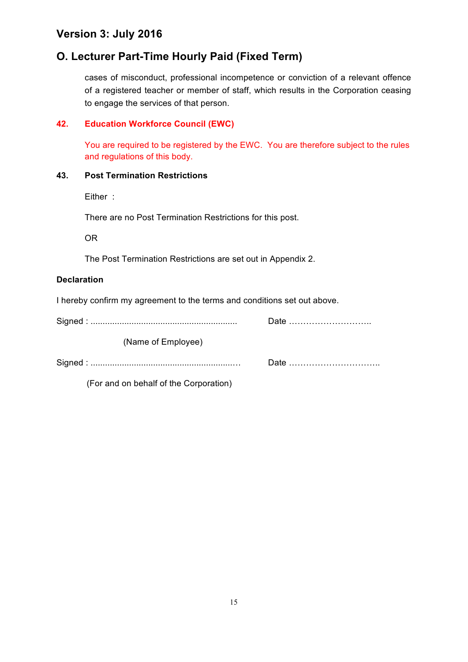# **O. Lecturer Part-Time Hourly Paid (Fixed Term)**

cases of misconduct, professional incompetence or conviction of a relevant offence of a registered teacher or member of staff, which results in the Corporation ceasing to engage the services of that person.

### **42. Education Workforce Council (EWC)**

You are required to be registered by the EWC. You are therefore subject to the rules and regulations of this body.

### **43. Post Termination Restrictions**

Either :

There are no Post Termination Restrictions for this post.

OR

The Post Termination Restrictions are set out in Appendix 2.

### **Declaration**

I hereby confirm my agreement to the terms and conditions set out above.

| (Name of Employee) |  |
|--------------------|--|
|                    |  |
|                    |  |

(For and on behalf of the Corporation)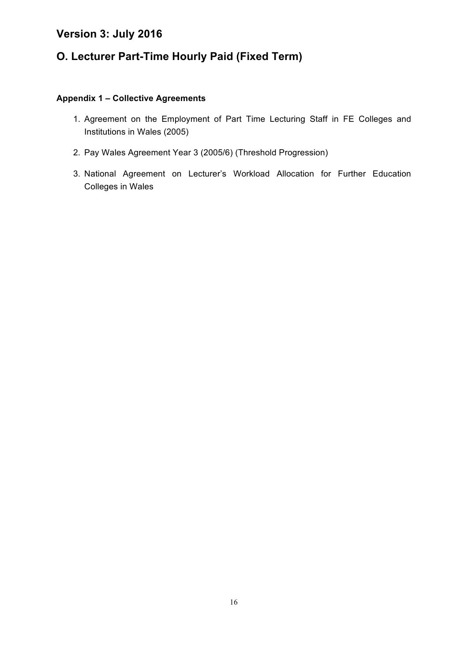# **O. Lecturer Part-Time Hourly Paid (Fixed Term)**

### **Appendix 1 – Collective Agreements**

- 1. Agreement on the Employment of Part Time Lecturing Staff in FE Colleges and Institutions in Wales (2005)
- 2. Pay Wales Agreement Year 3 (2005/6) (Threshold Progression)
- 3. National Agreement on Lecturer's Workload Allocation for Further Education Colleges in Wales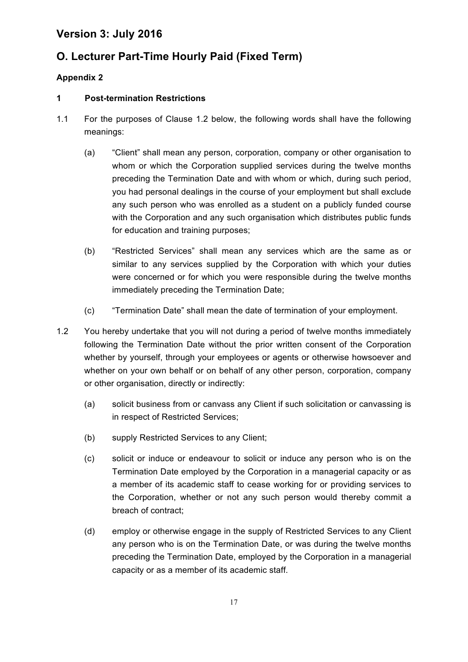# **O. Lecturer Part-Time Hourly Paid (Fixed Term)**

### **Appendix 2**

### **1 Post-termination Restrictions**

- 1.1 For the purposes of Clause 1.2 below, the following words shall have the following meanings:
	- (a) "Client" shall mean any person, corporation, company or other organisation to whom or which the Corporation supplied services during the twelve months preceding the Termination Date and with whom or which, during such period, you had personal dealings in the course of your employment but shall exclude any such person who was enrolled as a student on a publicly funded course with the Corporation and any such organisation which distributes public funds for education and training purposes;
	- (b) "Restricted Services" shall mean any services which are the same as or similar to any services supplied by the Corporation with which your duties were concerned or for which you were responsible during the twelve months immediately preceding the Termination Date;
	- (c) "Termination Date" shall mean the date of termination of your employment.
- 1.2 You hereby undertake that you will not during a period of twelve months immediately following the Termination Date without the prior written consent of the Corporation whether by yourself, through your employees or agents or otherwise howsoever and whether on your own behalf or on behalf of any other person, corporation, company or other organisation, directly or indirectly:
	- (a) solicit business from or canvass any Client if such solicitation or canvassing is in respect of Restricted Services;
	- (b) supply Restricted Services to any Client;
	- (c) solicit or induce or endeavour to solicit or induce any person who is on the Termination Date employed by the Corporation in a managerial capacity or as a member of its academic staff to cease working for or providing services to the Corporation, whether or not any such person would thereby commit a breach of contract;
	- (d) employ or otherwise engage in the supply of Restricted Services to any Client any person who is on the Termination Date, or was during the twelve months preceding the Termination Date, employed by the Corporation in a managerial capacity or as a member of its academic staff.